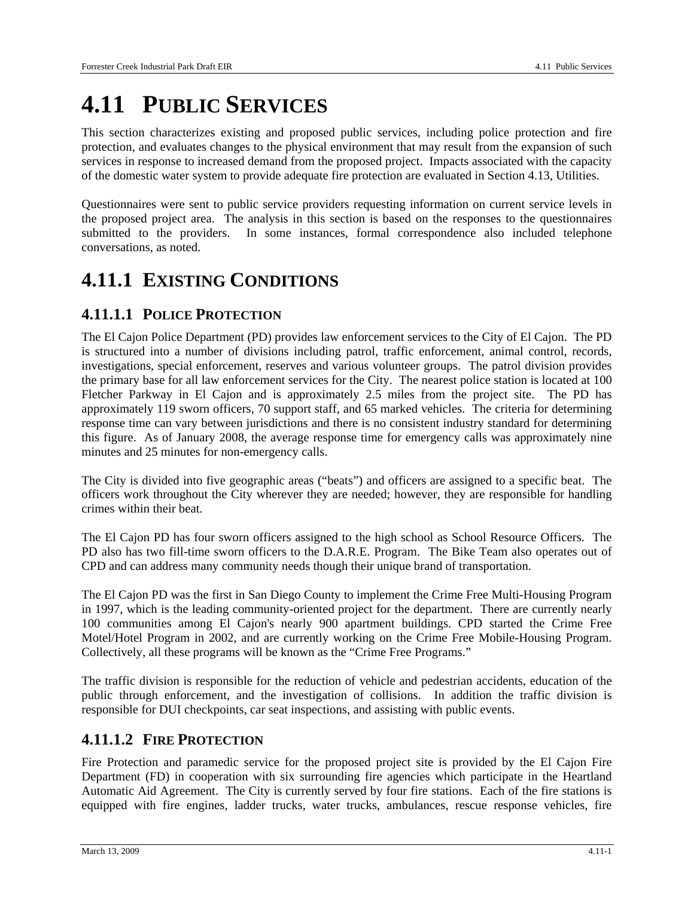# **4.11 PUBLIC SERVICES**

This section characterizes existing and proposed public services, including police protection and fire protection, and evaluates changes to the physical environment that may result from the expansion of such services in response to increased demand from the proposed project. Impacts associated with the capacity of the domestic water system to provide adequate fire protection are evaluated in Section 4.13, Utilities.

Questionnaires were sent to public service providers requesting information on current service levels in the proposed project area. The analysis in this section is based on the responses to the questionnaires submitted to the providers. In some instances, formal correspondence also included telephone conversations, as noted.

# **4.11.1 EXISTING CONDITIONS**

### **4.11.1.1 POLICE PROTECTION**

The El Cajon Police Department (PD) provides law enforcement services to the City of El Cajon. The PD is structured into a number of divisions including patrol, traffic enforcement, animal control, records, investigations, special enforcement, reserves and various volunteer groups. The patrol division provides the primary base for all law enforcement services for the City. The nearest police station is located at 100 Fletcher Parkway in El Cajon and is approximately 2.5 miles from the project site. The PD has approximately 119 sworn officers, 70 support staff, and 65 marked vehicles. The criteria for determining response time can vary between jurisdictions and there is no consistent industry standard for determining this figure. As of January 2008, the average response time for emergency calls was approximately nine minutes and 25 minutes for non-emergency calls.

The City is divided into five geographic areas ("beats") and officers are assigned to a specific beat. The officers work throughout the City wherever they are needed; however, they are responsible for handling crimes within their beat.

The El Cajon PD has four sworn officers assigned to the high school as School Resource Officers. The PD also has two fill-time sworn officers to the D.A.R.E. Program. The Bike Team also operates out of CPD and can address many community needs though their unique brand of transportation.

The El Cajon PD was the first in San Diego County to implement the Crime Free Multi-Housing Program in 1997, which is the leading community-oriented project for the department. There are currently nearly 100 communities among El Cajon's nearly 900 apartment buildings. CPD started the Crime Free Motel/Hotel Program in 2002, and are currently working on the Crime Free Mobile-Housing Program. Collectively, all these programs will be known as the "Crime Free Programs."

The traffic division is responsible for the reduction of vehicle and pedestrian accidents, education of the public through enforcement, and the investigation of collisions. In addition the traffic division is responsible for DUI checkpoints, car seat inspections, and assisting with public events.

### **4.11.1.2 FIRE PROTECTION**

Fire Protection and paramedic service for the proposed project site is provided by the El Cajon Fire Department (FD) in cooperation with six surrounding fire agencies which participate in the Heartland Automatic Aid Agreement. The City is currently served by four fire stations. Each of the fire stations is equipped with fire engines, ladder trucks, water trucks, ambulances, rescue response vehicles, fire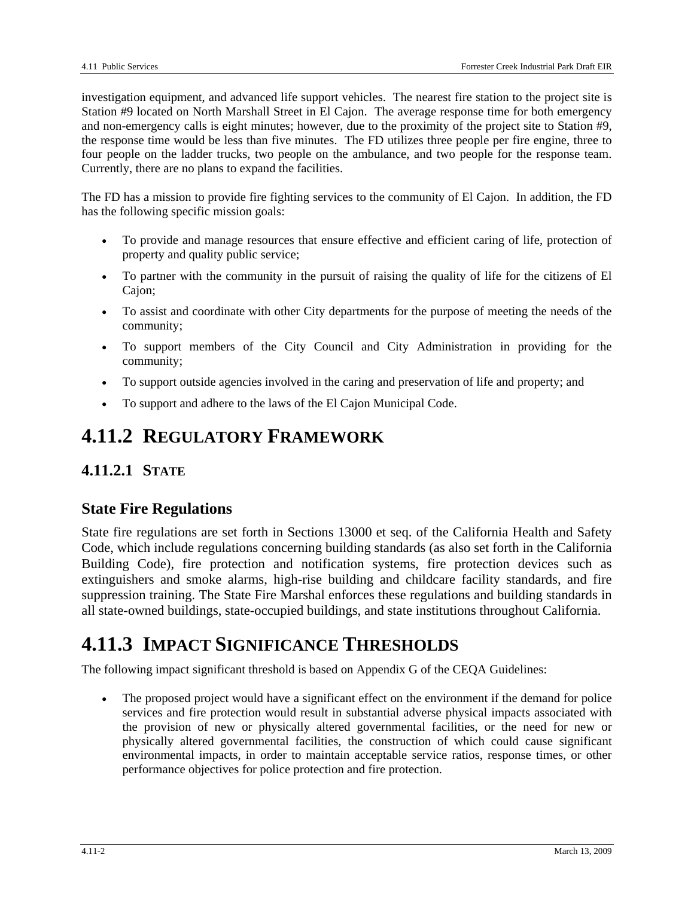investigation equipment, and advanced life support vehicles. The nearest fire station to the project site is Station #9 located on North Marshall Street in El Cajon. The average response time for both emergency and non-emergency calls is eight minutes; however, due to the proximity of the project site to Station #9, the response time would be less than five minutes. The FD utilizes three people per fire engine, three to four people on the ladder trucks, two people on the ambulance, and two people for the response team. Currently, there are no plans to expand the facilities.

The FD has a mission to provide fire fighting services to the community of El Cajon. In addition, the FD has the following specific mission goals:

- To provide and manage resources that ensure effective and efficient caring of life, protection of property and quality public service;
- To partner with the community in the pursuit of raising the quality of life for the citizens of El Cajon;
- To assist and coordinate with other City departments for the purpose of meeting the needs of the community;
- To support members of the City Council and City Administration in providing for the community;
- To support outside agencies involved in the caring and preservation of life and property; and
- To support and adhere to the laws of the El Cajon Municipal Code.

# **4.11.2 REGULATORY FRAMEWORK**

### **4.11.2.1 STATE**

### **State Fire Regulations**

State fire regulations are set forth in Sections 13000 et seq. of the California Health and Safety Code, which include regulations concerning building standards (as also set forth in the California Building Code), fire protection and notification systems, fire protection devices such as extinguishers and smoke alarms, high-rise building and childcare facility standards, and fire suppression training. The State Fire Marshal enforces these regulations and building standards in all state-owned buildings, state-occupied buildings, and state institutions throughout California.

# **4.11.3 IMPACT SIGNIFICANCE THRESHOLDS**

The following impact significant threshold is based on Appendix G of the CEQA Guidelines:

The proposed project would have a significant effect on the environment if the demand for police services and fire protection would result in substantial adverse physical impacts associated with the provision of new or physically altered governmental facilities, or the need for new or physically altered governmental facilities, the construction of which could cause significant environmental impacts, in order to maintain acceptable service ratios, response times, or other performance objectives for police protection and fire protection.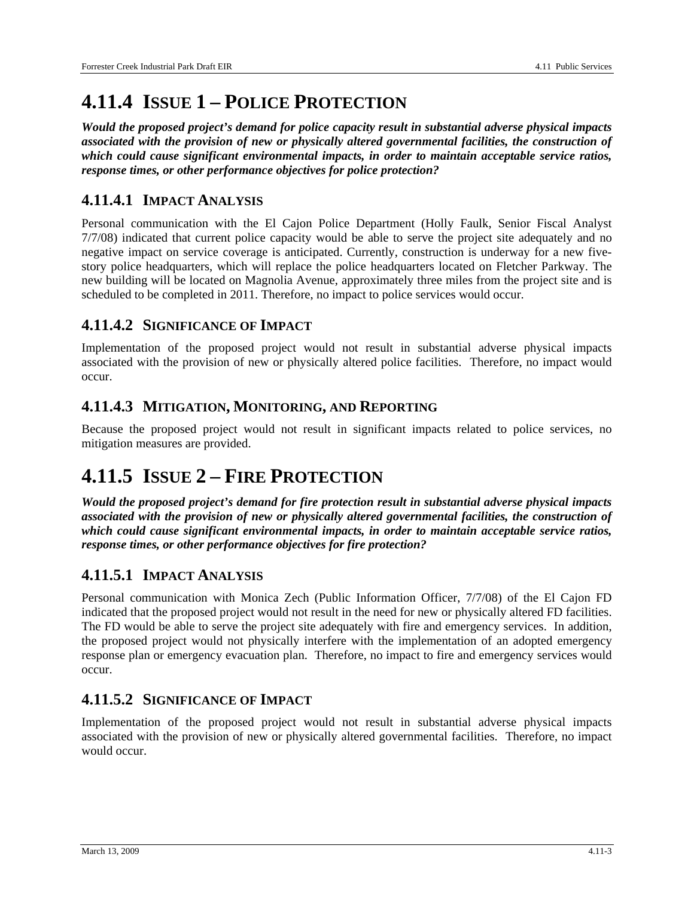# **4.11.4 ISSUE 1 – POLICE PROTECTION**

*Would the proposed project's demand for police capacity result in substantial adverse physical impacts associated with the provision of new or physically altered governmental facilities, the construction of which could cause significant environmental impacts, in order to maintain acceptable service ratios, response times, or other performance objectives for police protection?* 

#### **4.11.4.1 IMPACT ANALYSIS**

Personal communication with the El Cajon Police Department (Holly Faulk, Senior Fiscal Analyst 7/7/08) indicated that current police capacity would be able to serve the project site adequately and no negative impact on service coverage is anticipated. Currently, construction is underway for a new fivestory police headquarters, which will replace the police headquarters located on Fletcher Parkway. The new building will be located on Magnolia Avenue, approximately three miles from the project site and is scheduled to be completed in 2011. Therefore, no impact to police services would occur.

#### **4.11.4.2 SIGNIFICANCE OF IMPACT**

Implementation of the proposed project would not result in substantial adverse physical impacts associated with the provision of new or physically altered police facilities. Therefore, no impact would occur.

#### **4.11.4.3 MITIGATION, MONITORING, AND REPORTING**

Because the proposed project would not result in significant impacts related to police services, no mitigation measures are provided.

# **4.11.5 ISSUE 2 – FIRE PROTECTION**

*Would the proposed project's demand for fire protection result in substantial adverse physical impacts associated with the provision of new or physically altered governmental facilities, the construction of which could cause significant environmental impacts, in order to maintain acceptable service ratios, response times, or other performance objectives for fire protection?* 

### **4.11.5.1 IMPACT ANALYSIS**

Personal communication with Monica Zech (Public Information Officer, 7/7/08) of the El Cajon FD indicated that the proposed project would not result in the need for new or physically altered FD facilities. The FD would be able to serve the project site adequately with fire and emergency services. In addition, the proposed project would not physically interfere with the implementation of an adopted emergency response plan or emergency evacuation plan. Therefore, no impact to fire and emergency services would occur.

#### **4.11.5.2 SIGNIFICANCE OF IMPACT**

Implementation of the proposed project would not result in substantial adverse physical impacts associated with the provision of new or physically altered governmental facilities. Therefore, no impact would occur.